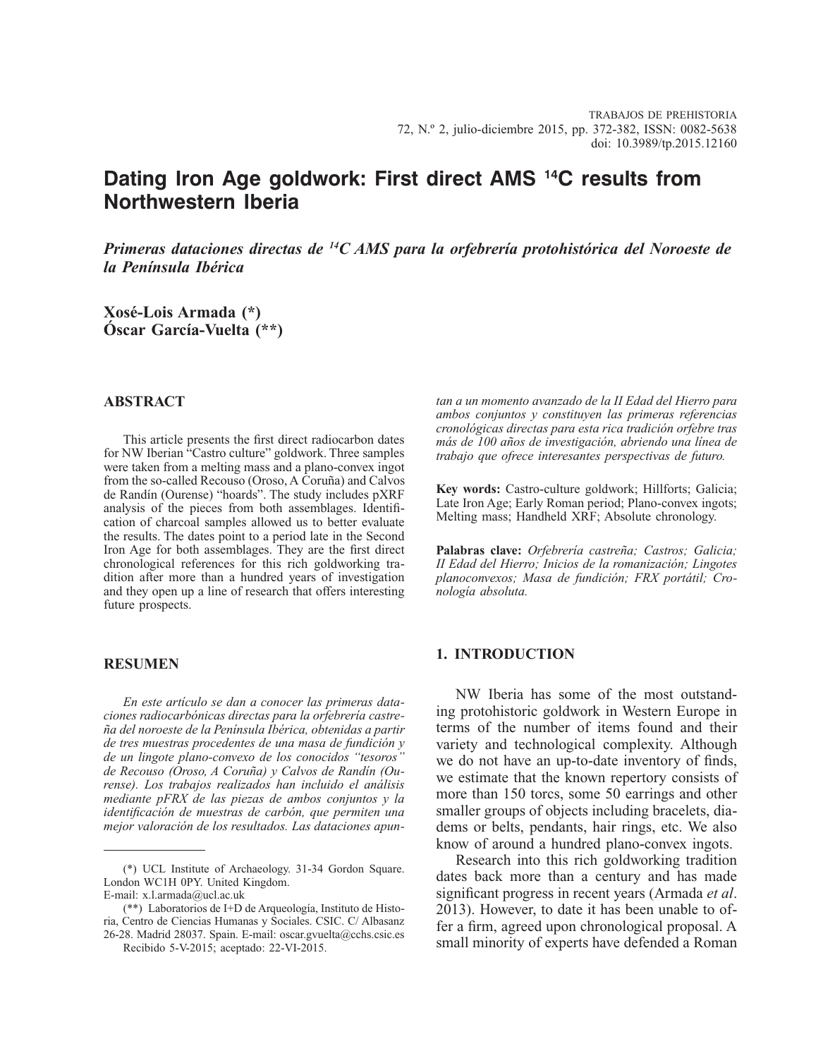# **Dating Iron Age goldwork: First direct AMS 14C results from Northwestern Iberia**

*Primeras dataciones directas de 14C AMS para la orfebrería protohistórica del Noroeste de la Península Ibérica*

**Xosé-Lois Armada (\*) Óscar García-Vuelta (\*\*)**

# **ABSTRACT**

This article presents the first direct radiocarbon dates for NW Iberian "Castro culture" goldwork. Three samples were taken from a melting mass and a plano-convex ingot from the so-called Recouso (Oroso, A Coruña) and Calvos de Randín (Ourense) "hoards". The study includes pXRF analysis of the pieces from both assemblages. Identification of charcoal samples allowed us to better evaluate the results. The dates point to a period late in the Second Iron Age for both assemblages. They are the first direct chronological references for this rich goldworking tradition after more than a hundred years of investigation and they open up a line of research that offers interesting future prospects.

# **RESUMEN**

*En este artículo se dan a conocer las primeras dataciones radiocarbónicas directas para la orfebrería castreña del noroeste de la Península Ibérica, obtenidas a partir de tres muestras procedentes de una masa de fundición y de un lingote plano-convexo de los conocidos "tesoros" de Recouso (Oroso, A Coruña) y Calvos de Randín (Ourense). Los trabajos realizados han incluido el análisis mediante pFRX de las piezas de ambos conjuntos y la identificación de muestras de carbón, que permiten una mejor valoración de los resultados. Las dataciones apun-* *tan a un momento avanzado de la II Edad del Hierro para ambos conjuntos y constituyen las primeras referencias cronológicas directas para esta rica tradición orfebre tras más de 100 años de investigación, abriendo una línea de trabajo que ofrece interesantes perspectivas de futuro.*

**Key words:** Castro-culture goldwork; Hillforts; Galicia; Late Iron Age; Early Roman period; Plano-convex ingots; Melting mass; Handheld XRF; Absolute chronology.

**Palabras clave:** *Orfebrería castreña; Castros; Galicia; II Edad del Hierro; Inicios de la romanización; Lingotes planoconvexos; Masa de fundición; FRX portátil; Cronología absoluta.*

# **1. INTRODUCTION**

NW Iberia has some of the most outstanding protohistoric goldwork in Western Europe in terms of the number of items found and their variety and technological complexity. Although we do not have an up-to-date inventory of finds, we estimate that the known repertory consists of more than 150 torcs, some 50 earrings and other smaller groups of objects including bracelets, diadems or belts, pendants, hair rings, etc. We also know of around a hundred plano-convex ingots.

Research into this rich goldworking tradition dates back more than a century and has made significant progress in recent years (Armada *et al*. 2013). However, to date it has been unable to offer a firm, agreed upon chronological proposal. A small minority of experts have defended a Roman

<sup>(\*)</sup> UCL Institute of Archaeology. 31-34 Gordon Square. London WC1H 0PY. United Kingdom.

E-mail: x.l.armada@ucl.ac.uk

<sup>(\*\*)</sup> Laboratorios de I+D de Arqueología, Instituto de Historia, Centro de Ciencias Humanas y Sociales. CSIC. C/ Albasanz 26-28. Madrid 28037. Spain. E-mail: oscar.gvuelta@cchs.csic.es

Recibido 5-V-2015; aceptado: 22-VI-2015.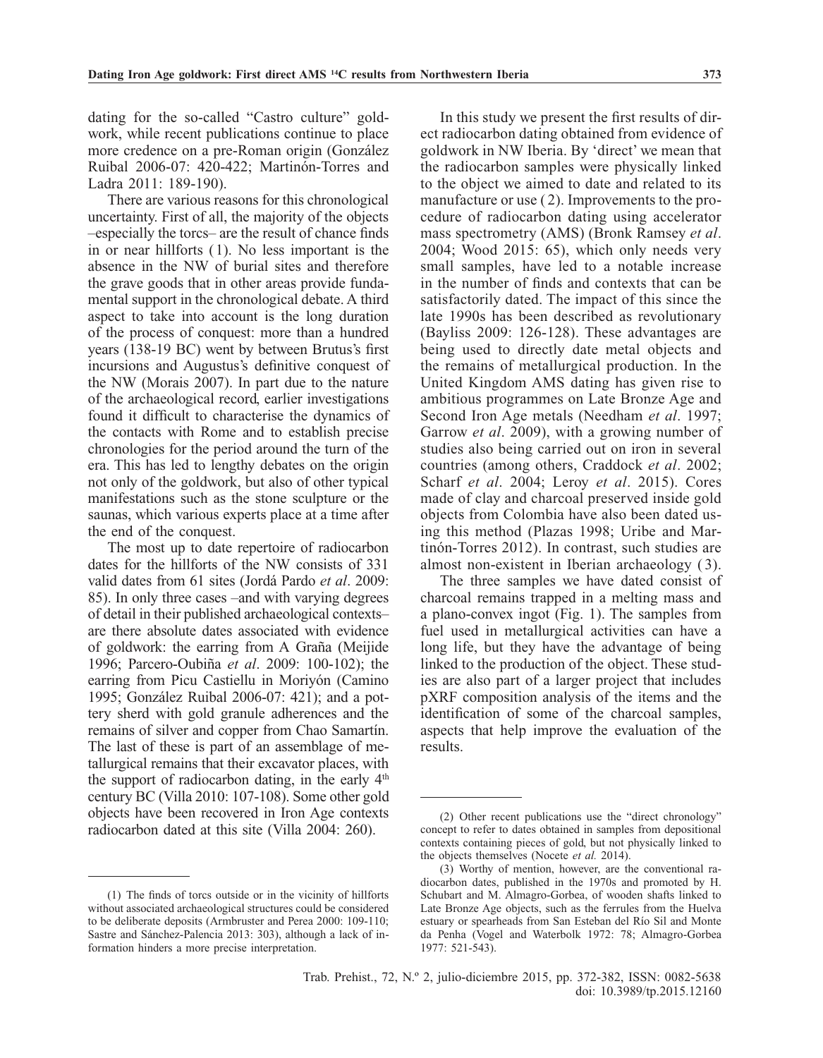dating for the so-called "Castro culture" goldwork, while recent publications continue to place more credence on a pre-Roman origin (González Ruibal 2006-07: 420-422; Martinón-Torres and Ladra 2011: 189-190).

There are various reasons for this chronological uncertainty. First of all, the majority of the objects –especially the torcs– are the result of chance finds in or near hillforts ( 1). No less important is the absence in the NW of burial sites and therefore the grave goods that in other areas provide fundamental support in the chronological debate. A third aspect to take into account is the long duration of the process of conquest: more than a hundred years (138-19 BC) went by between Brutus's first incursions and Augustus's definitive conquest of the NW (Morais 2007). In part due to the nature of the archaeological record, earlier investigations found it difficult to characterise the dynamics of the contacts with Rome and to establish precise chronologies for the period around the turn of the era. This has led to lengthy debates on the origin not only of the goldwork, but also of other typical manifestations such as the stone sculpture or the saunas, which various experts place at a time after the end of the conquest.

The most up to date repertoire of radiocarbon dates for the hillforts of the NW consists of 331 valid dates from 61 sites (Jordá Pardo *et al*. 2009: 85). In only three cases –and with varying degrees of detail in their published archaeological contexts– are there absolute dates associated with evidence of goldwork: the earring from A Graña (Meijide 1996; Parcero-Oubiña *et al*. 2009: 100-102); the earring from Picu Castiellu in Moriyón (Camino 1995; González Ruibal 2006-07: 421); and a pottery sherd with gold granule adherences and the remains of silver and copper from Chao Samartín. The last of these is part of an assemblage of metallurgical remains that their excavator places, with the support of radiocarbon dating, in the early  $4<sup>th</sup>$ century BC (Villa 2010: 107-108). Some other gold objects have been recovered in Iron Age contexts radiocarbon dated at this site (Villa 2004: 260).

(1) The finds of torcs outside or in the vicinity of hillforts without associated archaeological structures could be considered to be deliberate deposits (Armbruster and Perea 2000: 109-110; Sastre and Sánchez-Palencia 2013: 303), although a lack of information hinders a more precise interpretation.

In this study we present the first results of direct radiocarbon dating obtained from evidence of goldwork in NW Iberia. By 'direct' we mean that the radiocarbon samples were physically linked to the object we aimed to date and related to its manufacture or use ( 2). Improvements to the procedure of radiocarbon dating using accelerator mass spectrometry (AMS) (Bronk Ramsey *et al*. 2004; Wood 2015: 65), which only needs very small samples, have led to a notable increase in the number of finds and contexts that can be satisfactorily dated. The impact of this since the late 1990s has been described as revolutionary (Bayliss 2009: 126-128). These advantages are being used to directly date metal objects and the remains of metallurgical production. In the United Kingdom AMS dating has given rise to ambitious programmes on Late Bronze Age and Second Iron Age metals (Needham *et al*. 1997; Garrow *et al*. 2009), with a growing number of studies also being carried out on iron in several countries (among others, Craddock *et al*. 2002; Scharf *et al*. 2004; Leroy *et al*. 2015). Cores made of clay and charcoal preserved inside gold objects from Colombia have also been dated using this method (Plazas 1998; Uribe and Martinón-Torres 2012). In contrast, such studies are almost non-existent in Iberian archaeology ( 3).

The three samples we have dated consist of charcoal remains trapped in a melting mass and a plano-convex ingot (Fig. 1). The samples from fuel used in metallurgical activities can have a long life, but they have the advantage of being linked to the production of the object. These studies are also part of a larger project that includes pXRF composition analysis of the items and the identification of some of the charcoal samples, aspects that help improve the evaluation of the results.

<sup>(2)</sup> Other recent publications use the "direct chronology" concept to refer to dates obtained in samples from depositional contexts containing pieces of gold, but not physically linked to the objects themselves (Nocete *et al.* 2014).

<sup>(3)</sup> Worthy of mention, however, are the conventional radiocarbon dates, published in the 1970s and promoted by H. Schubart and M. Almagro-Gorbea, of wooden shafts linked to Late Bronze Age objects, such as the ferrules from the Huelva estuary or spearheads from San Esteban del Río Sil and Monte da Penha (Vogel and Waterbolk 1972: 78; Almagro-Gorbea 1977: 521-543).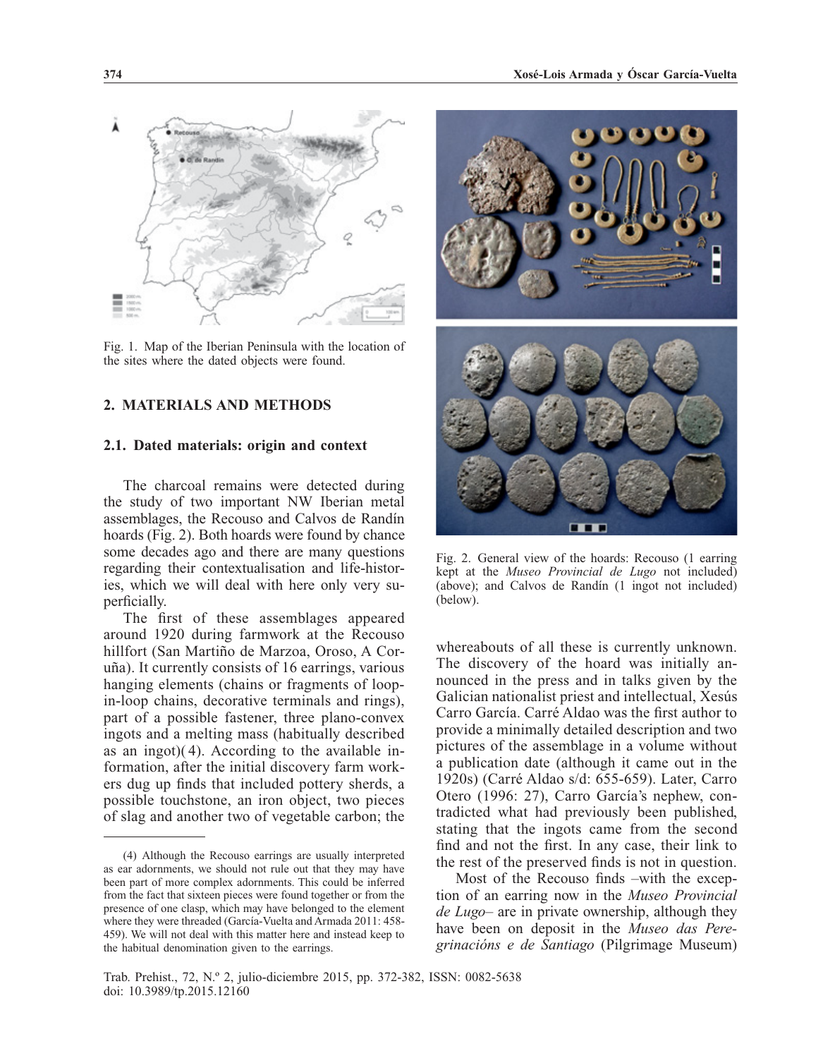

Fig. 1. Map of the Iberian Peninsula with the location of the sites where the dated objects were found.

### **2. MATERIALS AND METHODS**

# **2.1. Dated materials: origin and context**

The charcoal remains were detected during the study of two important NW Iberian metal assemblages, the Recouso and Calvos de Randín hoards (Fig. 2). Both hoards were found by chance some decades ago and there are many questions regarding their contextualisation and life-histories, which we will deal with here only very superficially.

The first of these assemblages appeared around 1920 during farmwork at the Recouso hillfort (San Martiño de Marzoa, Oroso, A Coruña). It currently consists of 16 earrings, various hanging elements (chains or fragments of loopin-loop chains, decorative terminals and rings), part of a possible fastener, three plano-convex ingots and a melting mass (habitually described as an ingot)( 4). According to the available information, after the initial discovery farm workers dug up finds that included pottery sherds, a possible touchstone, an iron object, two pieces of slag and another two of vegetable carbon; the



Fig. 2. General view of the hoards: Recouso (1 earring kept at the *Museo Provincial de Lugo* not included) (above); and Calvos de Randín (1 ingot not included) (below).

whereabouts of all these is currently unknown. The discovery of the hoard was initially announced in the press and in talks given by the Galician nationalist priest and intellectual, Xesús Carro García. Carré Aldao was the first author to provide a minimally detailed description and two pictures of the assemblage in a volume without a publication date (although it came out in the 1920s) (Carré Aldao s/d: 655-659). Later, Carro Otero (1996: 27), Carro García's nephew, contradicted what had previously been published, stating that the ingots came from the second find and not the first. In any case, their link to the rest of the preserved finds is not in question.

Most of the Recouso finds –with the exception of an earring now in the *Museo Provincial de Lugo*– are in private ownership, although they have been on deposit in the *Museo das Peregrinacións e de Santiago* (Pilgrimage Museum)

<sup>(4)</sup> Although the Recouso earrings are usually interpreted as ear adornments, we should not rule out that they may have been part of more complex adornments. This could be inferred from the fact that sixteen pieces were found together or from the presence of one clasp, which may have belonged to the element where they were threaded (García-Vuelta and Armada 2011: 458- 459). We will not deal with this matter here and instead keep to the habitual denomination given to the earrings.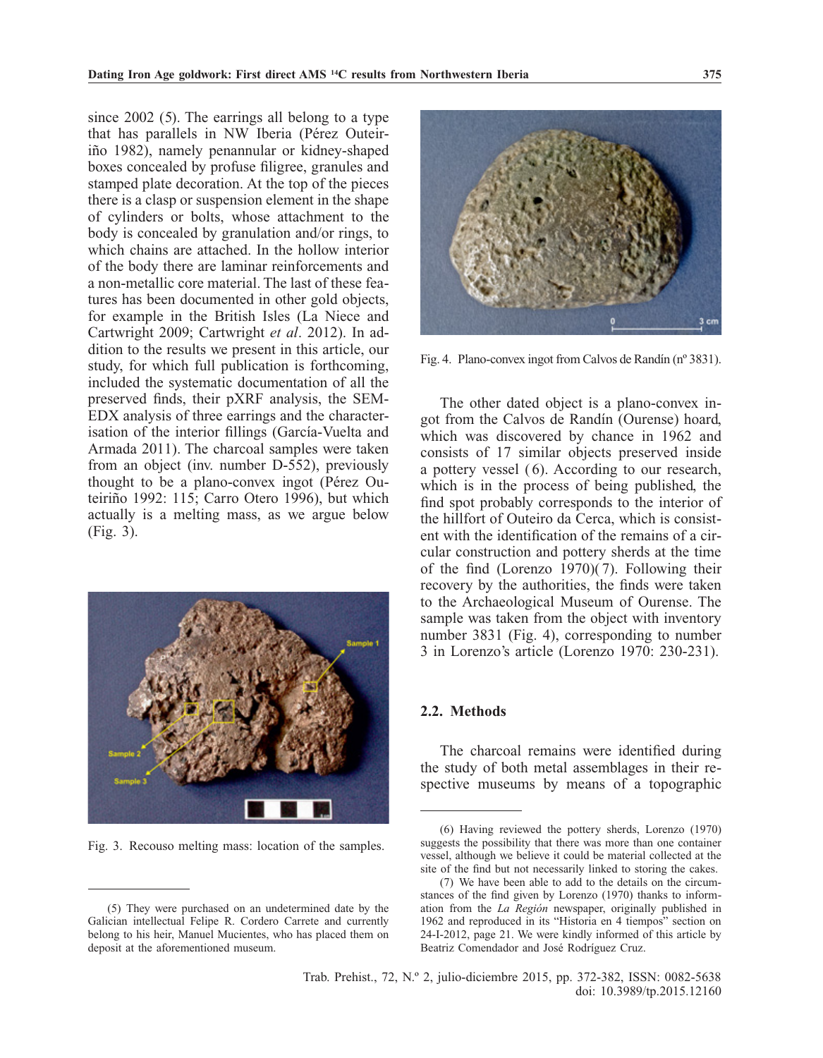since  $2002$  (5). The earrings all belong to a type that has parallels in NW Iberia (Pérez Outeiriño 1982), namely penannular or kidney-shaped boxes concealed by profuse filigree, granules and stamped plate decoration. At the top of the pieces there is a clasp or suspension element in the shape of cylinders or bolts, whose attachment to the body is concealed by granulation and/or rings, to which chains are attached. In the hollow interior of the body there are laminar reinforcements and a non-metallic core material. The last of these features has been documented in other gold objects, for example in the British Isles (La Niece and Cartwright 2009; Cartwright *et al*. 2012). In addition to the results we present in this article, our study, for which full publication is forthcoming, included the systematic documentation of all the preserved finds, their pXRF analysis, the SEM-EDX analysis of three earrings and the characterisation of the interior fillings (García-Vuelta and Armada 2011). The charcoal samples were taken from an object (inv. number D-552), previously thought to be a plano-convex ingot (Pérez Outeiriño 1992: 115; Carro Otero 1996), but which actually is a melting mass, as we argue below (Fig. 3).



Fig. 3. Recouso melting mass: location of the samples.



Fig. 4. Plano-convex ingot from Calvos de Randín (nº 3831).

The other dated object is a plano-convex ingot from the Calvos de Randín (Ourense) hoard, which was discovered by chance in 1962 and consists of 17 similar objects preserved inside a pottery vessel ( 6). According to our research, which is in the process of being published, the find spot probably corresponds to the interior of the hillfort of Outeiro da Cerca, which is consistent with the identification of the remains of a circular construction and pottery sherds at the time of the find (Lorenzo  $1970$ )(7). Following their recovery by the authorities, the finds were taken to the Archaeological Museum of Ourense. The sample was taken from the object with inventory number 3831 (Fig. 4), corresponding to number 3 in Lorenzo's article (Lorenzo 1970: 230-231).

#### **2.2. Methods**

The charcoal remains were identified during the study of both metal assemblages in their respective museums by means of a topographic

<sup>(5)</sup> They were purchased on an undetermined date by the Galician intellectual Felipe R. Cordero Carrete and currently belong to his heir, Manuel Mucientes, who has placed them on deposit at the aforementioned museum.

<sup>(6)</sup> Having reviewed the pottery sherds, Lorenzo (1970) suggests the possibility that there was more than one container vessel, although we believe it could be material collected at the site of the find but not necessarily linked to storing the cakes.

<sup>(7)</sup> We have been able to add to the details on the circumstances of the find given by Lorenzo (1970) thanks to information from the *La Región* newspaper, originally published in 1962 and reproduced in its "Historia en 4 tiempos" section on 24-I-2012, page 21. We were kindly informed of this article by Beatriz Comendador and José Rodríguez Cruz.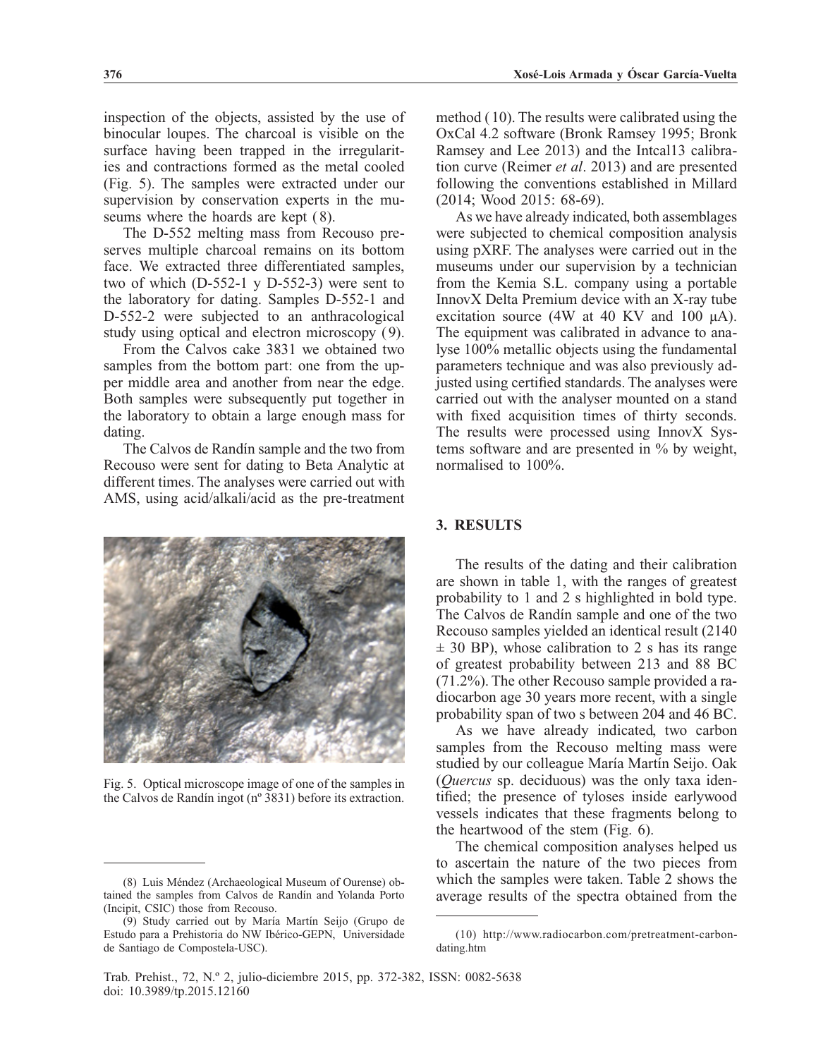inspection of the objects, assisted by the use of binocular loupes. The charcoal is visible on the surface having been trapped in the irregularities and contractions formed as the metal cooled (Fig. 5). The samples were extracted under our supervision by conservation experts in the museums where the hoards are kept  $(8)$ .

The D-552 melting mass from Recouso preserves multiple charcoal remains on its bottom face. We extracted three differentiated samples, two of which (D-552-1 y D-552-3) were sent to the laboratory for dating. Samples D-552-1 and D-552-2 were subjected to an anthracological study using optical and electron microscopy ( 9).

From the Calvos cake 3831 we obtained two samples from the bottom part: one from the upper middle area and another from near the edge. Both samples were subsequently put together in the laboratory to obtain a large enough mass for dating.

The Calvos de Randín sample and the two from Recouso were sent for dating to Beta Analytic at different times. The analyses were carried out with AMS, using acid/alkali/acid as the pre-treatment



Fig. 5. Optical microscope image of one of the samples in the Calvos de Randín ingot (nº 3831) before its extraction.

method ( 10). The results were calibrated using the OxCal 4.2 software (Bronk Ramsey 1995; Bronk Ramsey and Lee 2013) and the Intcal13 calibration curve (Reimer *et al*. 2013) and are presented following the conventions established in Millard (2014; Wood 2015: 68-69).

As we have already indicated, both assemblages were subjected to chemical composition analysis using pXRF. The analyses were carried out in the museums under our supervision by a technician from the Kemia S.L. company using a portable InnovX Delta Premium device with an X-ray tube excitation source (4W at 40 KV and 100 μA). The equipment was calibrated in advance to analyse 100% metallic objects using the fundamental parameters technique and was also previously adjusted using certified standards. The analyses were carried out with the analyser mounted on a stand with fixed acquisition times of thirty seconds. The results were processed using InnovX Systems software and are presented in % by weight, normalised to 100%.

### **3. RESULTS**

The results of the dating and their calibration are shown in table 1, with the ranges of greatest probability to 1 and 2 s highlighted in bold type. The Calvos de Randín sample and one of the two Recouso samples yielded an identical result (2140  $\pm$  30 BP), whose calibration to 2 s has its range of greatest probability between 213 and 88 BC (71.2%). The other Recouso sample provided a radiocarbon age 30 years more recent, with a single probability span of two s between 204 and 46 BC.

As we have already indicated, two carbon samples from the Recouso melting mass were studied by our colleague María Martín Seijo. Oak (*Quercus* sp. deciduous) was the only taxa identified; the presence of tyloses inside earlywood vessels indicates that these fragments belong to the heartwood of the stem (Fig. 6).

The chemical composition analyses helped us to ascertain the nature of the two pieces from which the samples were taken. Table 2 shows the average results of the spectra obtained from the

<sup>(8)</sup> Luis Méndez (Archaeological Museum of Ourense) obtained the samples from Calvos de Randín and Yolanda Porto (Incipit, CSIC) those from Recouso.

<sup>(9)</sup> Study carried out by María Martín Seijo (Grupo de Estudo para a Prehistoria do NW Ibérico-GEPN, Universidade de Santiago de Compostela-USC).

<sup>(10)</sup> http://www.radiocarbon.com/pretreatment-carbondating.htm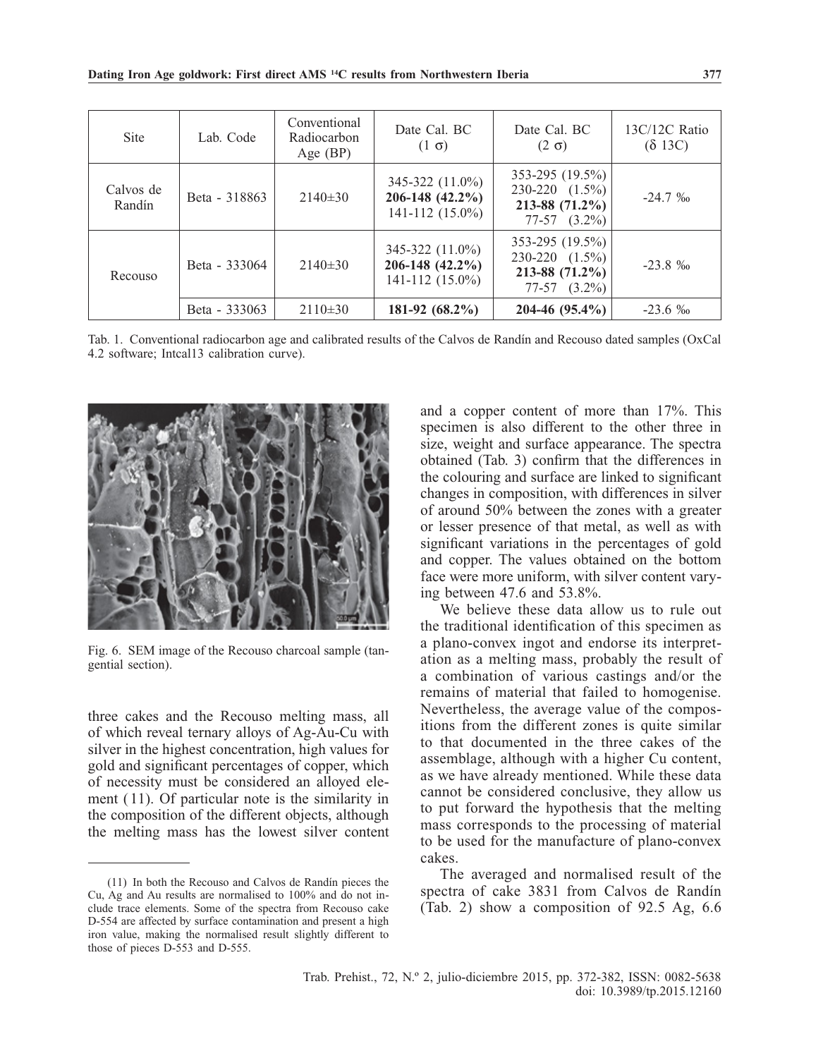| <b>Site</b>         | Lab. Code     | Conventional<br>Radiocarbon<br>Age $(BP)$ | Date Cal. BC<br>$(1 \sigma)$                              | Date Cal. BC<br>$(2 \sigma)$                                                     | 13C/12C Ratio<br>$(\delta 13C)$ |
|---------------------|---------------|-------------------------------------------|-----------------------------------------------------------|----------------------------------------------------------------------------------|---------------------------------|
| Calvos de<br>Randín | Beta - 318863 | $2140\pm30$                               | 345-322 (11.0%)<br>206-148 (42.2%)<br>$141 - 112(15.0\%)$ | $353-295(19.5%)$<br>$230-220$ $(1.5\%)$<br>$213-88$ (71.2%)<br>$77-57$ $(3.2\%)$ | $-24.7\%$                       |
| Recouso             | Beta - 333064 | $2140\pm30$                               | 345-322 (11.0%)<br>206-148 (42.2%)<br>$141 - 112(15.0\%)$ | $353-295(19.5%)$<br>$230-220$ $(1.5\%)$<br>$213-88$ (71.2%)<br>$77-57$ $(3.2\%)$ | $-23.8\%$                       |
|                     | Beta - 333063 | $2110\pm30$                               | 181-92 $(68.2\%)$                                         | $204-46(95.4\%)$                                                                 | $-23.6\%$                       |

Tab. 1. Conventional radiocarbon age and calibrated results of the Calvos de Randín and Recouso dated samples (OxCal 4.2 software; Intcal13 calibration curve).



Fig. 6. SEM image of the Recouso charcoal sample (tangential section).

three cakes and the Recouso melting mass, all of which reveal ternary alloys of Ag-Au-Cu with silver in the highest concentration, high values for gold and significant percentages of copper, which of necessity must be considered an alloyed element ( 11). Of particular note is the similarity in the composition of the different objects, although the melting mass has the lowest silver content and a copper content of more than 17%. This specimen is also different to the other three in size, weight and surface appearance. The spectra obtained (Tab. 3) confirm that the differences in the colouring and surface are linked to significant changes in composition, with differences in silver of around 50% between the zones with a greater or lesser presence of that metal, as well as with significant variations in the percentages of gold and copper. The values obtained on the bottom face were more uniform, with silver content varying between 47.6 and 53.8%.

We believe these data allow us to rule out the traditional identification of this specimen as a plano-convex ingot and endorse its interpretation as a melting mass, probably the result of a combination of various castings and/or the remains of material that failed to homogenise. Nevertheless, the average value of the compositions from the different zones is quite similar to that documented in the three cakes of the assemblage, although with a higher Cu content, as we have already mentioned. While these data cannot be considered conclusive, they allow us to put forward the hypothesis that the melting mass corresponds to the processing of material to be used for the manufacture of plano-convex cakes.

The averaged and normalised result of the spectra of cake 3831 from Calvos de Randín (Tab. 2) show a composition of 92.5 Ag, 6.6

<sup>(11)</sup> In both the Recouso and Calvos de Randín pieces the Cu, Ag and Au results are normalised to 100% and do not include trace elements. Some of the spectra from Recouso cake D-554 are affected by surface contamination and present a high iron value, making the normalised result slightly different to those of pieces D-553 and D-555.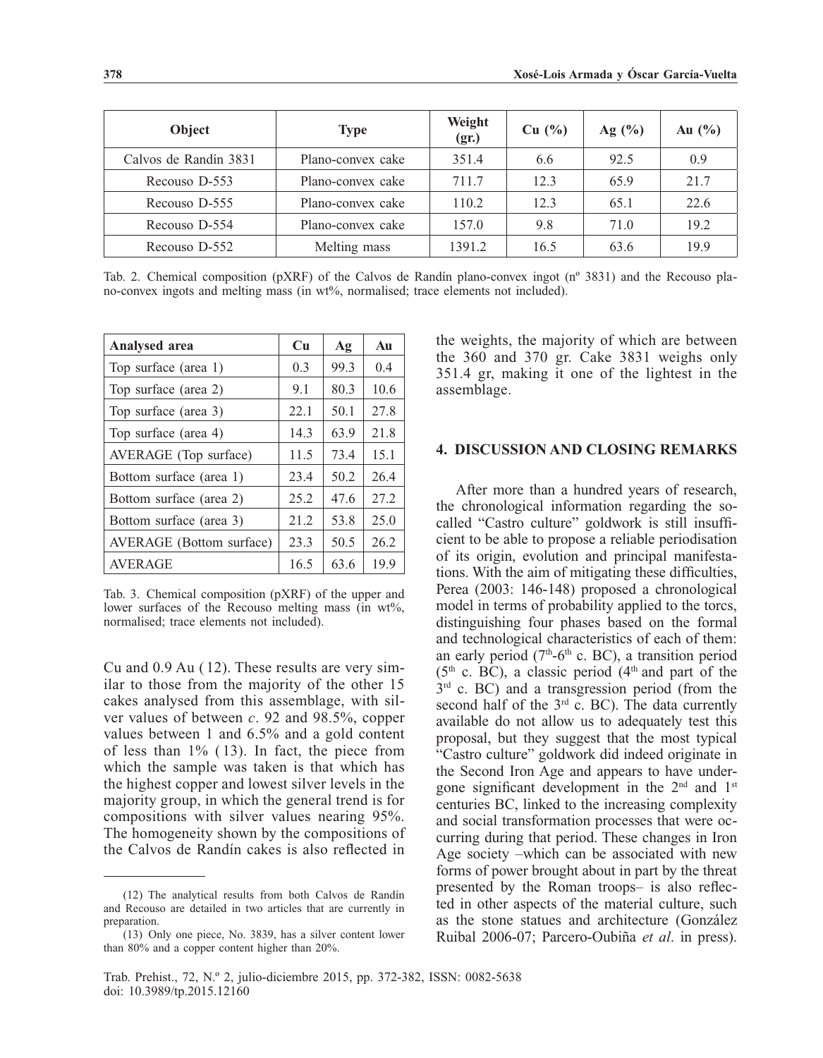| Object                | <b>Type</b>       | Weight<br>(gr.) | $Cu$ $\left(\frac{0}{0}\right)$ | Ag (%) | Au $(\%)$ |
|-----------------------|-------------------|-----------------|---------------------------------|--------|-----------|
| Calvos de Randín 3831 | Plano-convex cake | 351.4           | 6.6                             | 92.5   | 0.9       |
| Recouso D-553         | Plano-convex cake | 711.7           | 12.3                            | 65.9   | 21.7      |
| Recouso D-555         | Plano-convex cake | 110.2           | 12.3                            | 65.1   | 22.6      |
| Recouso D-554         | Plano-convex cake | 157.0           | 9.8                             | 71.0   | 19.2      |
| Recouso D-552         | Melting mass      | 1391.2          | 16.5                            | 63.6   | 19.9      |

Tab. 2. Chemical composition (pXRF) of the Calvos de Randín plano-convex ingot (nº 3831) and the Recouso plano-convex ingots and melting mass (in wt%, normalised; trace elements not included).

| <b>Analysed area</b>     | Cu   | Ag   | Au   |
|--------------------------|------|------|------|
| Top surface (area 1)     | 0.3  | 99.3 | 0.4  |
| Top surface (area 2)     | 9.1  | 80.3 | 10.6 |
| Top surface (area 3)     | 22.1 | 50.1 | 27.8 |
| Top surface (area 4)     | 14.3 | 63.9 | 21.8 |
| AVERAGE (Top surface)    | 11.5 | 73.4 | 15.1 |
| Bottom surface (area 1)  | 23.4 | 50.2 | 26.4 |
| Bottom surface (area 2)  | 25.2 | 47.6 | 27.2 |
| Bottom surface (area 3)  | 21.2 | 53.8 | 25.0 |
| AVERAGE (Bottom surface) | 23.3 | 50.5 | 26.2 |
| <b>AVERAGE</b>           | 16.5 | 63.6 | 19.9 |

Tab. 3. Chemical composition (pXRF) of the upper and lower surfaces of the Recouso melting mass (in wt%, normalised; trace elements not included).

Cu and 0.9 Au ( 12). These results are very similar to those from the majority of the other 15 cakes analysed from this assemblage, with silver values of between *c*. 92 and 98.5%, copper values between 1 and 6.5% and a gold content of less than 1% ( 13). In fact, the piece from which the sample was taken is that which has the highest copper and lowest silver levels in the majority group, in which the general trend is for compositions with silver values nearing 95%. The homogeneity shown by the compositions of the Calvos de Randín cakes is also reflected in

the weights, the majority of which are between the 360 and 370 gr. Cake 3831 weighs only 351.4 gr, making it one of the lightest in the assemblage.

# **4. DISCUSSION AND CLOSING REMARKS**

After more than a hundred years of research, the chronological information regarding the socalled "Castro culture" goldwork is still insufficient to be able to propose a reliable periodisation of its origin, evolution and principal manifestations. With the aim of mitigating these difficulties, Perea (2003: 146-148) proposed a chronological model in terms of probability applied to the torcs, distinguishing four phases based on the formal and technological characteristics of each of them: an early period  $(7<sup>th</sup>-6<sup>th</sup>$  c. BC), a transition period  $(5<sup>th</sup>$  c. BC), a classic period  $(4<sup>th</sup>$  and part of the  $3<sup>rd</sup>$  c. BC) and a transgression period (from the second half of the 3<sup>rd</sup> c. BC). The data currently available do not allow us to adequately test this proposal, but they suggest that the most typical "Castro culture" goldwork did indeed originate in the Second Iron Age and appears to have undergone significant development in the  $2<sup>nd</sup>$  and  $1<sup>st</sup>$ centuries BC, linked to the increasing complexity and social transformation processes that were occurring during that period. These changes in Iron Age society –which can be associated with new forms of power brought about in part by the threat presented by the Roman troops– is also reflected in other aspects of the material culture, such as the stone statues and architecture (González Ruibal 2006-07; Parcero-Oubiña *et al*. in press).

<sup>(12)</sup> The analytical results from both Calvos de Randín and Recouso are detailed in two articles that are currently in preparation.

<sup>(13)</sup> Only one piece, No. 3839, has a silver content lower than 80% and a copper content higher than 20%.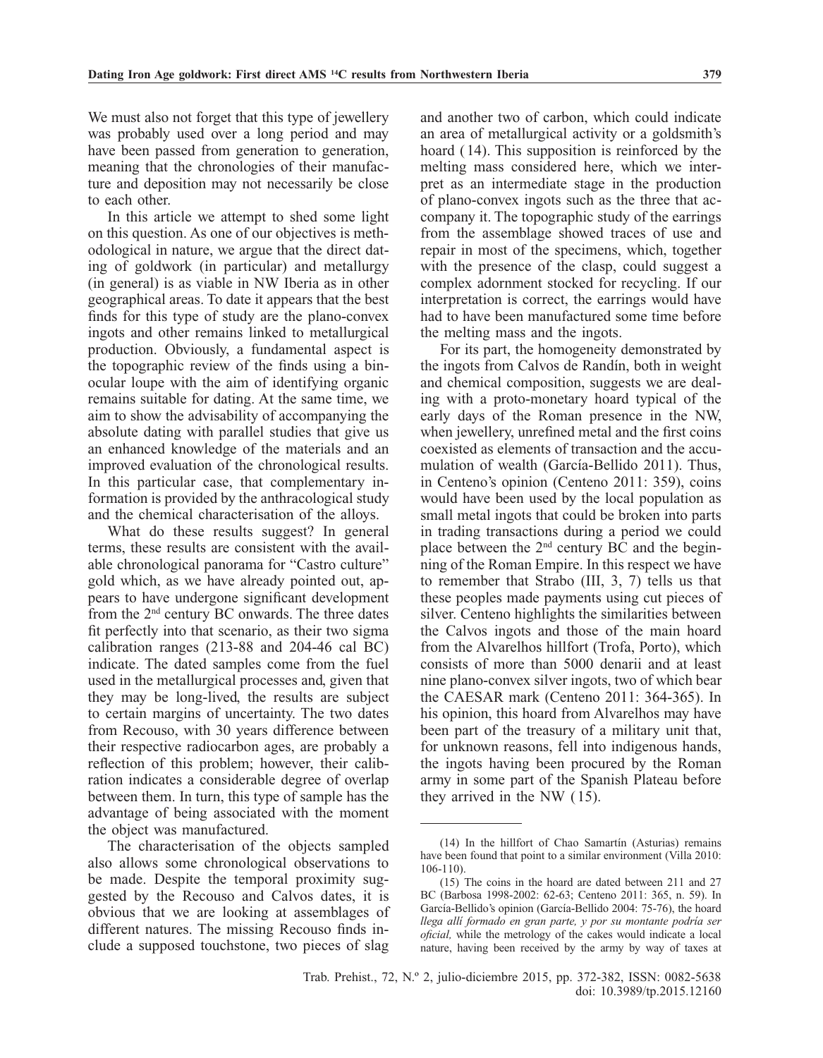We must also not forget that this type of jewellery was probably used over a long period and may have been passed from generation to generation, meaning that the chronologies of their manufacture and deposition may not necessarily be close to each other.

In this article we attempt to shed some light on this question. As one of our objectives is methodological in nature, we argue that the direct dating of goldwork (in particular) and metallurgy (in general) is as viable in NW Iberia as in other geographical areas. To date it appears that the best finds for this type of study are the plano-convex ingots and other remains linked to metallurgical production. Obviously, a fundamental aspect is the topographic review of the finds using a binocular loupe with the aim of identifying organic remains suitable for dating. At the same time, we aim to show the advisability of accompanying the absolute dating with parallel studies that give us an enhanced knowledge of the materials and an improved evaluation of the chronological results. In this particular case, that complementary information is provided by the anthracological study and the chemical characterisation of the alloys.

What do these results suggest? In general terms, these results are consistent with the available chronological panorama for "Castro culture" gold which, as we have already pointed out, appears to have undergone significant development from the 2<sup>nd</sup> century BC onwards. The three dates fit perfectly into that scenario, as their two sigma calibration ranges (213-88 and 204-46 cal BC) indicate. The dated samples come from the fuel used in the metallurgical processes and, given that they may be long-lived, the results are subject to certain margins of uncertainty. The two dates from Recouso, with 30 years difference between their respective radiocarbon ages, are probably a reflection of this problem; however, their calibration indicates a considerable degree of overlap between them. In turn, this type of sample has the advantage of being associated with the moment the object was manufactured.

The characterisation of the objects sampled also allows some chronological observations to be made. Despite the temporal proximity suggested by the Recouso and Calvos dates, it is obvious that we are looking at assemblages of different natures. The missing Recouso finds include a supposed touchstone, two pieces of slag and another two of carbon, which could indicate an area of metallurgical activity or a goldsmith's hoard ( 14). This supposition is reinforced by the melting mass considered here, which we interpret as an intermediate stage in the production of plano-convex ingots such as the three that accompany it. The topographic study of the earrings from the assemblage showed traces of use and repair in most of the specimens, which, together with the presence of the clasp, could suggest a complex adornment stocked for recycling. If our interpretation is correct, the earrings would have had to have been manufactured some time before the melting mass and the ingots.

For its part, the homogeneity demonstrated by the ingots from Calvos de Randín, both in weight and chemical composition, suggests we are dealing with a proto-monetary hoard typical of the early days of the Roman presence in the NW, when jewellery, unrefined metal and the first coins coexisted as elements of transaction and the accumulation of wealth (García-Bellido 2011). Thus, in Centeno's opinion (Centeno 2011: 359), coins would have been used by the local population as small metal ingots that could be broken into parts in trading transactions during a period we could place between the 2nd century BC and the beginning of the Roman Empire. In this respect we have to remember that Strabo (III, 3, 7) tells us that these peoples made payments using cut pieces of silver. Centeno highlights the similarities between the Calvos ingots and those of the main hoard from the Alvarelhos hillfort (Trofa, Porto), which consists of more than 5000 denarii and at least nine plano-convex silver ingots, two of which bear the CAESAR mark (Centeno 2011: 364-365). In his opinion, this hoard from Alvarelhos may have been part of the treasury of a military unit that, for unknown reasons, fell into indigenous hands, the ingots having been procured by the Roman army in some part of the Spanish Plateau before they arrived in the NW ( 15).

<sup>(14)</sup> In the hillfort of Chao Samartín (Asturias) remains have been found that point to a similar environment (Villa 2010: 106-110).

<sup>(15)</sup> The coins in the hoard are dated between 211 and 27 BC (Barbosa 1998-2002: 62-63; Centeno 2011: 365, n. 59). In García-Bellido's opinion (García-Bellido 2004: 75-76), the hoard *llega allí formado en gran parte, y por su montante podría ser oficial,* while the metrology of the cakes would indicate a local nature, having been received by the army by way of taxes at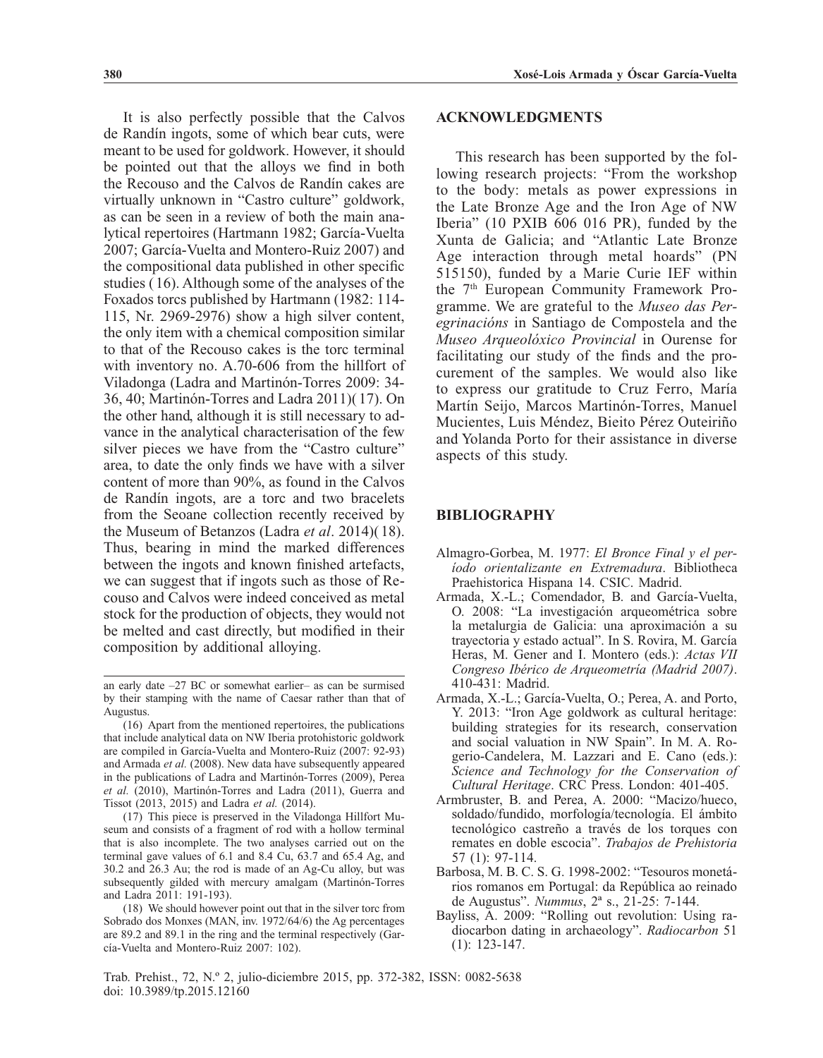It is also perfectly possible that the Calvos de Randín ingots, some of which bear cuts, were meant to be used for goldwork. However, it should be pointed out that the alloys we find in both the Recouso and the Calvos de Randín cakes are virtually unknown in "Castro culture" goldwork, as can be seen in a review of both the main analytical repertoires (Hartmann 1982; García-Vuelta 2007; García-Vuelta and Montero-Ruiz 2007) and the compositional data published in other specific studies ( 16). Although some of the analyses of the Foxados torcs published by Hartmann (1982: 114- 115, Nr. 2969-2976) show a high silver content, the only item with a chemical composition similar to that of the Recouso cakes is the torc terminal with inventory no. A.70-606 from the hillfort of Viladonga (Ladra and Martinón-Torres 2009: 34- 36, 40; Martinón-Torres and Ladra 2011)( 17). On the other hand, although it is still necessary to advance in the analytical characterisation of the few silver pieces we have from the "Castro culture" area, to date the only finds we have with a silver content of more than 90%, as found in the Calvos de Randín ingots, are a torc and two bracelets from the Seoane collection recently received by the Museum of Betanzos (Ladra *et al*. 2014)( 18). Thus, bearing in mind the marked differences between the ingots and known finished artefacts, we can suggest that if ingots such as those of Recouso and Calvos were indeed conceived as metal stock for the production of objects, they would not be melted and cast directly, but modified in their composition by additional alloying.

# **ACKNOWLEDGMENTS**

This research has been supported by the following research projects: "From the workshop to the body: metals as power expressions in the Late Bronze Age and the Iron Age of NW Iberia" (10 PXIB 606 016 PR), funded by the Xunta de Galicia; and "Atlantic Late Bronze Age interaction through metal hoards" (PN 515150), funded by a Marie Curie IEF within the 7<sup>th</sup> European Community Framework Programme. We are grateful to the *Museo das Peregrinacións* in Santiago de Compostela and the *Museo Arqueolóxico Provincial* in Ourense for facilitating our study of the finds and the procurement of the samples. We would also like to express our gratitude to Cruz Ferro, María Martín Seijo, Marcos Martinón-Torres, Manuel Mucientes, Luis Méndez, Bieito Pérez Outeiriño and Yolanda Porto for their assistance in diverse aspects of this study.

# **BIBLIOGRAPHY**

- Almagro-Gorbea, M. 1977: *El Bronce Final y el período orientalizante en Extremadura*. Bibliotheca Praehistorica Hispana 14. CSIC. Madrid.
- Armada, X.-L.; Comendador, B. and García-Vuelta, O. 2008: "La investigación arqueométrica sobre la metalurgia de Galicia: una aproximación a su trayectoria y estado actual". In S. Rovira, M. García Heras, M. Gener and I. Montero (eds.): *Actas VII Congreso Ibérico de Arqueometría (Madrid 2007)*. 410-431: Madrid.
- Armada, X.-L.; García-Vuelta, O.; Perea, A. and Porto, Y. 2013: "Iron Age goldwork as cultural heritage: building strategies for its research, conservation and social valuation in NW Spain". In M. A. Rogerio-Candelera, M. Lazzari and E. Cano (eds.): *Science and Technology for the Conservation of Cultural Heritage*. CRC Press. London: 401-405.
- Armbruster, B. and Perea, A. 2000: "Macizo/hueco, soldado/fundido, morfología/tecnología. El ámbito tecnológico castreño a través de los torques con remates en doble escocia". *Trabajos de Prehistoria* 57 (1): 97-114.
- Barbosa, M. B. C. S. G. 1998-2002: "Tesouros monetários romanos em Portugal: da República ao reinado de Augustus". *Nummus*, 2ª s., 21-25: 7-144.
- Bayliss, A. 2009: "Rolling out revolution: Using radiocarbon dating in archaeology". *Radiocarbon* 51 (1): 123-147.

Trab. Prehist., 72, N.º 2, julio-diciembre 2015, pp. 372-382, ISSN: 0082-5638 doi: 10.3989/tp.2015.12160

an early date –27 BC or somewhat earlier– as can be surmised by their stamping with the name of Caesar rather than that of Augustus.

<sup>(16)</sup> Apart from the mentioned repertoires, the publications that include analytical data on NW Iberia protohistoric goldwork are compiled in García-Vuelta and Montero-Ruiz (2007: 92-93) and Armada *et al.* (2008). New data have subsequently appeared in the publications of Ladra and Martinón-Torres (2009), Perea *et al.* (2010), Martinón-Torres and Ladra (2011), Guerra and Tissot (2013, 2015) and Ladra *et al.* (2014).

<sup>(17)</sup> This piece is preserved in the Viladonga Hillfort Museum and consists of a fragment of rod with a hollow terminal that is also incomplete. The two analyses carried out on the terminal gave values of 6.1 and 8.4 Cu, 63.7 and 65.4 Ag, and 30.2 and 26.3 Au; the rod is made of an Ag-Cu alloy, but was subsequently gilded with mercury amalgam (Martinón-Torres and Ladra 2011: 191-193).

<sup>(18)</sup> We should however point out that in the silver torc from Sobrado dos Monxes (MAN, inv. 1972/64/6) the Ag percentages are 89.2 and 89.1 in the ring and the terminal respectively (García-Vuelta and Montero-Ruiz 2007: 102).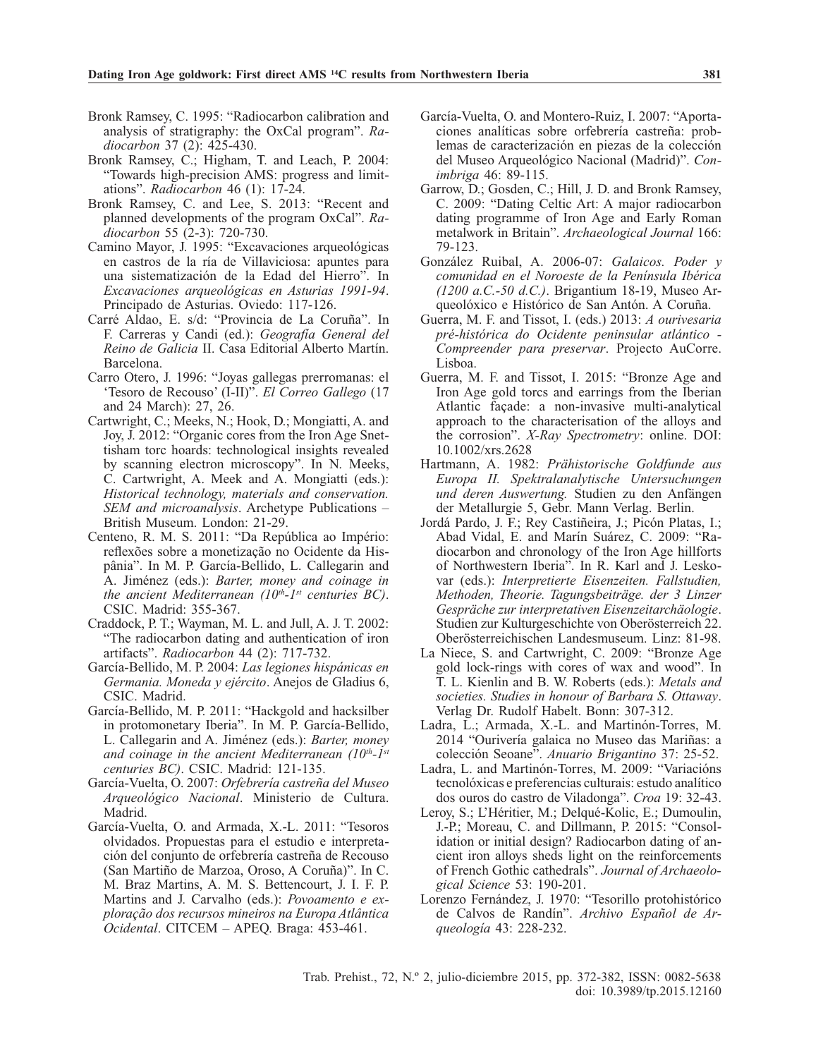- Bronk Ramsey, C. 1995: "Radiocarbon calibration and analysis of stratigraphy: the OxCal program". *Radiocarbon* 37 (2): 425-430.
- Bronk Ramsey, C.; Higham, T. and Leach, P. 2004: "Towards high-precision AMS: progress and limitations". *Radiocarbon* 46 (1): 17-24.
- Bronk Ramsey, C. and Lee, S. 2013: "Recent and planned developments of the program OxCal". *Radiocarbon* 55 (2-3): 720-730.
- Camino Mayor, J. 1995: "Excavaciones arqueológicas en castros de la ría de Villaviciosa: apuntes para una sistematización de la Edad del Hierro". In *Excavaciones arqueológicas en Asturias 1991-94*. Principado de Asturias. Oviedo: 117-126.
- Carré Aldao, E. s/d: "Provincia de La Coruña". In F. Carreras y Candi (ed.): *Geografía General del Reino de Galicia* II. Casa Editorial Alberto Martín. Barcelona.
- Carro Otero, J. 1996: "Joyas gallegas prerromanas: el 'Tesoro de Recouso' (I-II)". *El Correo Gallego* (17 and 24 March): 27, 26.
- Cartwright, C.; Meeks, N.; Hook, D.; Mongiatti, A. and Joy, J. 2012: "Organic cores from the Iron Age Snettisham torc hoards: technological insights revealed by scanning electron microscopy". In N. Meeks, C. Cartwright, A. Meek and A. Mongiatti (eds.): *Historical technology, materials and conservation. SEM and microanalysis*. Archetype Publications – British Museum. London: 21-29.
- Centeno, R. M. S. 2011: "Da República ao Império: reflexões sobre a monetização no Ocidente da Hispânia". In M. P. García-Bellido, L. Callegarin and A. Jiménez (eds.): *Barter, money and coinage in the ancient Mediterranean (10<sup>th</sup>-1<sup>st</sup> centuries BC).* CSIC. Madrid: 355-367.
- Craddock, P. T.; Wayman, M. L. and Jull, A. J. T. 2002: "The radiocarbon dating and authentication of iron artifacts". *Radiocarbon* 44 (2): 717-732.
- García-Bellido, M. P. 2004: *Las legiones hispánicas en Germania. Moneda y ejército*. Anejos de Gladius 6, CSIC. Madrid.
- García-Bellido, M. P. 2011: "Hackgold and hacksilber in protomonetary Iberia". In M. P. García-Bellido, L. Callegarin and A. Jiménez (eds.): *Barter, money*  and coinage in the ancient Mediterranean (10<sup>th</sup>-1<sup>st</sup> *centuries BC)*. CSIC. Madrid: 121-135.
- García-Vuelta, O. 2007: *Orfebrería castreña del Museo Arqueológico Nacional*. Ministerio de Cultura. Madrid.
- García-Vuelta, O. and Armada, X.-L. 2011: "Tesoros olvidados. Propuestas para el estudio e interpretación del conjunto de orfebrería castreña de Recouso (San Martiño de Marzoa, Oroso, A Coruña)". In C. M. Braz Martins, A. M. S. Bettencourt, J. I. F. P. Martins and J. Carvalho (eds.): *Povoamento e exploração dos recursos mineiros na Europa Atlântica Ocidental*. CITCEM – APEQ. Braga: 453-461.
- García-Vuelta, O. and Montero-Ruiz, I. 2007: "Aportaciones analíticas sobre orfebrería castreña: problemas de caracterización en piezas de la colección del Museo Arqueológico Nacional (Madrid)". *Conimbriga* 46: 89-115.
- Garrow, D.; Gosden, C.; Hill, J. D. and Bronk Ramsey, C. 2009: "Dating Celtic Art: A major radiocarbon dating programme of Iron Age and Early Roman metalwork in Britain". *Archaeological Journal* 166: 79-123.
- González Ruibal, A. 2006-07: *Galaicos. Poder y comunidad en el Noroeste de la Península Ibérica (1200 a.C.-50 d.C.)*. Brigantium 18-19, Museo Arqueolóxico e Histórico de San Antón. A Coruña.
- Guerra, M. F. and Tissot, I. (eds.) 2013: *A ourivesaria pré-histórica do Ocidente peninsular atlántico - Compreender para preservar*. Projecto AuCorre. Lisboa.
- Guerra, M. F. and Tissot, I. 2015: "Bronze Age and Iron Age gold torcs and earrings from the Iberian Atlantic façade: a non-invasive multi-analytical approach to the characterisation of the alloys and the corrosion". *X-Ray Spectrometry*: online. DOI: 10.1002/xrs.2628
- Hartmann, A. 1982: *Prähistorische Goldfunde aus Europa II. Spektralanalytische Untersuchungen und deren Auswertung.* Studien zu den Anfängen der Metallurgie 5, Gebr. Mann Verlag. Berlin.
- Jordá Pardo, J. F.; Rey Castiñeira, J.; Picón Platas, I.; Abad Vidal, E. and Marín Suárez, C. 2009: "Radiocarbon and chronology of the Iron Age hillforts of Northwestern Iberia". In R. Karl and J. Leskovar (eds.): *Interpretierte Eisenzeiten. Fallstudien, Methoden, Theorie. Tagungsbeiträge. der 3 Linzer Gespräche zur interpretativen Eisenzeitarchäologie*. Studien zur Kulturgeschichte von Oberösterreich 22. Oberösterreichischen Landesmuseum. Linz: 81-98.
- La Niece, S. and Cartwright, C. 2009: "Bronze Age gold lock-rings with cores of wax and wood". In T. L. Kienlin and B. W. Roberts (eds.): *Metals and societies. Studies in honour of Barbara S. Ottaway*. Verlag Dr. Rudolf Habelt. Bonn: 307-312.
- Ladra, L.; Armada, X.-L. and Martinón-Torres, M. 2014 "Ourivería galaica no Museo das Mariñas: a colección Seoane". *Anuario Brigantino* 37: 25-52.
- Ladra, L. and Martinón-Torres, M. 2009: "Variacións tecnolóxicas e preferencias culturais: estudo analítico dos ouros do castro de Viladonga". *Croa* 19: 32-43.
- Leroy, S.; L'Héritier, M.; Delqué-Kolic, E.; Dumoulin, J.-P.; Moreau, C. and Dillmann, P. 2015: "Consolidation or initial design? Radiocarbon dating of ancient iron alloys sheds light on the reinforcements of French Gothic cathedrals". *Journal of Archaeological Science* 53: 190-201.
- Lorenzo Fernández, J. 1970: "Tesorillo protohistórico de Calvos de Randín". *Archivo Español de Arqueología* 43: 228-232.